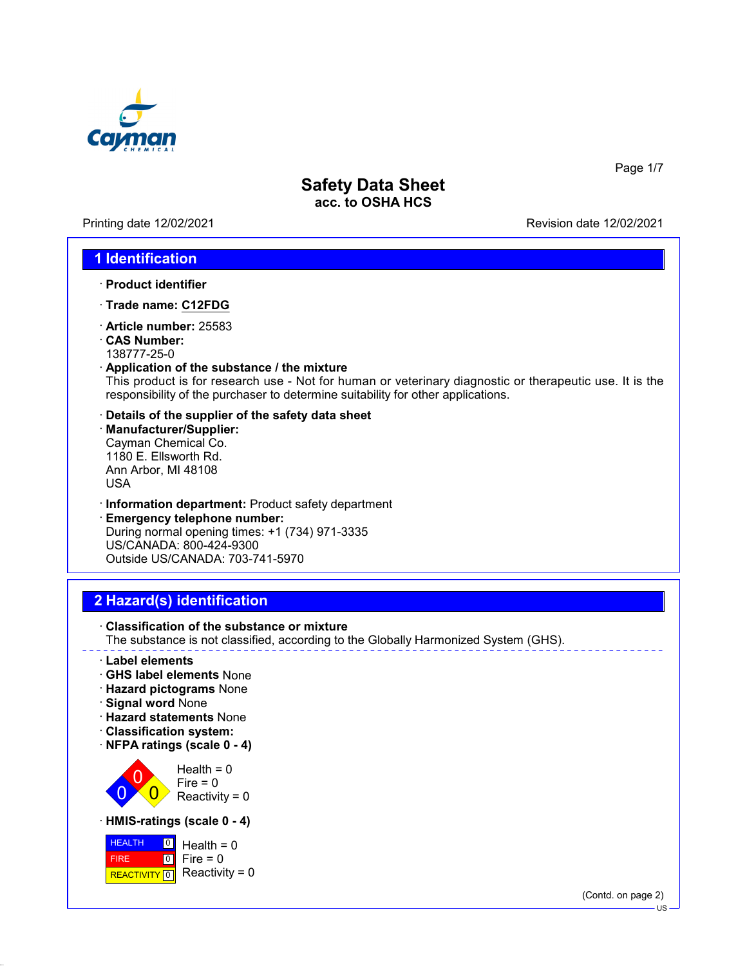

Printing date 12/02/2021 Revision date 12/02/2021

Page 1/7

### **1 Identification**

- · **Product identifier**
- · **Trade name: C12FDG**
- · **Article number:** 25583
- · **CAS Number:**
- 138777-25-0
- · **Application of the substance / the mixture**

This product is for research use - Not for human or veterinary diagnostic or therapeutic use. It is the responsibility of the purchaser to determine suitability for other applications.

- · **Details of the supplier of the safety data sheet**
- · **Manufacturer/Supplier:** Cayman Chemical Co. 1180 E. Ellsworth Rd. Ann Arbor, MI 48108 USA
- · **Information department:** Product safety department
- · **Emergency telephone number:** During normal opening times: +1 (734) 971-3335 US/CANADA: 800-424-9300 Outside US/CANADA: 703-741-5970

## **2 Hazard(s) identification**

· **Classification of the substance or mixture** The substance is not classified, according to the Globally Harmonized System (GHS).

- · **Label elements**
- · **GHS label elements** None
- · **Hazard pictograms** None
- · **Signal word** None
- · **Hazard statements** None
- · **Classification system:**
- · **NFPA ratings (scale 0 4)**



· **HMIS-ratings (scale 0 - 4)**



(Contd. on page 2)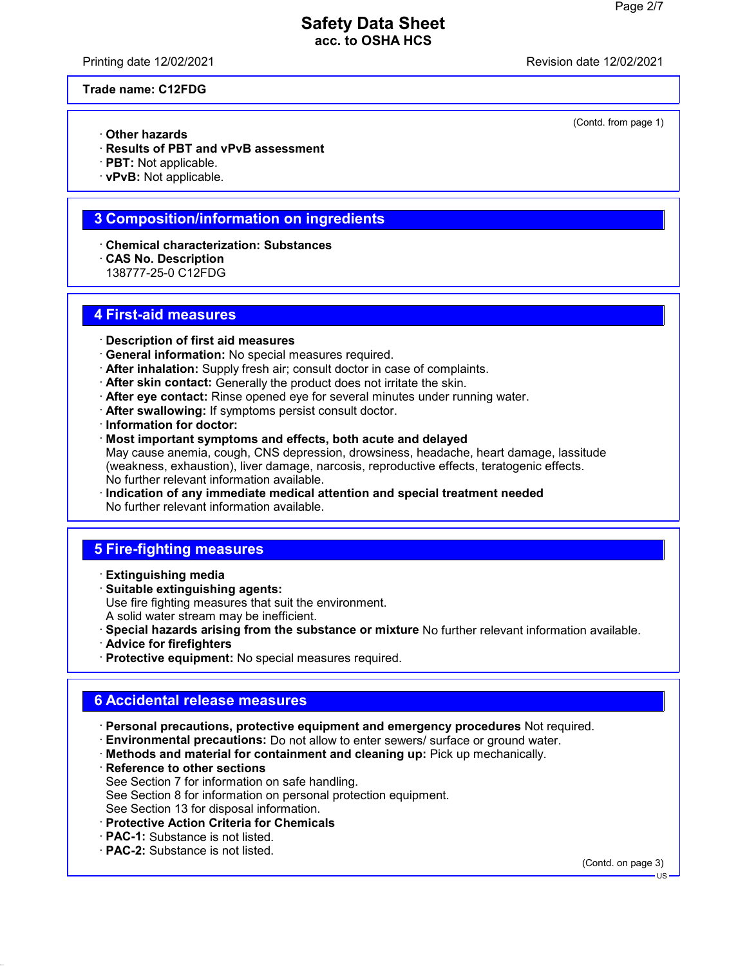Printing date 12/02/2021 Revision date 12/02/2021

(Contd. from page 1)

#### **Trade name: C12FDG**

- · **Other hazards**
- · **Results of PBT and vPvB assessment**
- · **PBT:** Not applicable.
- · **vPvB:** Not applicable.

### **3 Composition/information on ingredients**

- · **Chemical characterization: Substances**
- · **CAS No. Description**
- 138777-25-0 C12FDG

#### **4 First-aid measures**

- · **Description of first aid measures**
- · **General information:** No special measures required.
- · **After inhalation:** Supply fresh air; consult doctor in case of complaints.
- · **After skin contact:** Generally the product does not irritate the skin.
- · **After eye contact:** Rinse opened eye for several minutes under running water.
- · **After swallowing:** If symptoms persist consult doctor.
- · **Information for doctor:**
- · **Most important symptoms and effects, both acute and delayed** May cause anemia, cough, CNS depression, drowsiness, headache, heart damage, lassitude (weakness, exhaustion), liver damage, narcosis, reproductive effects, teratogenic effects. No further relevant information available.
- · **Indication of any immediate medical attention and special treatment needed** No further relevant information available.

### **5 Fire-fighting measures**

- · **Extinguishing media**
- · **Suitable extinguishing agents:** Use fire fighting measures that suit the environment. A solid water stream may be inefficient.
- · **Special hazards arising from the substance or mixture** No further relevant information available.
- · **Advice for firefighters**
- · **Protective equipment:** No special measures required.

# **6 Accidental release measures**

- · **Personal precautions, protective equipment and emergency procedures** Not required.
- · **Environmental precautions:** Do not allow to enter sewers/ surface or ground water.
- · **Methods and material for containment and cleaning up:** Pick up mechanically.
- · **Reference to other sections** See Section 7 for information on safe handling. See Section 8 for information on personal protection equipment. See Section 13 for disposal information.
- · **Protective Action Criteria for Chemicals**
- · **PAC-1:** Substance is not listed.
- · **PAC-2:** Substance is not listed.

(Contd. on page 3)

US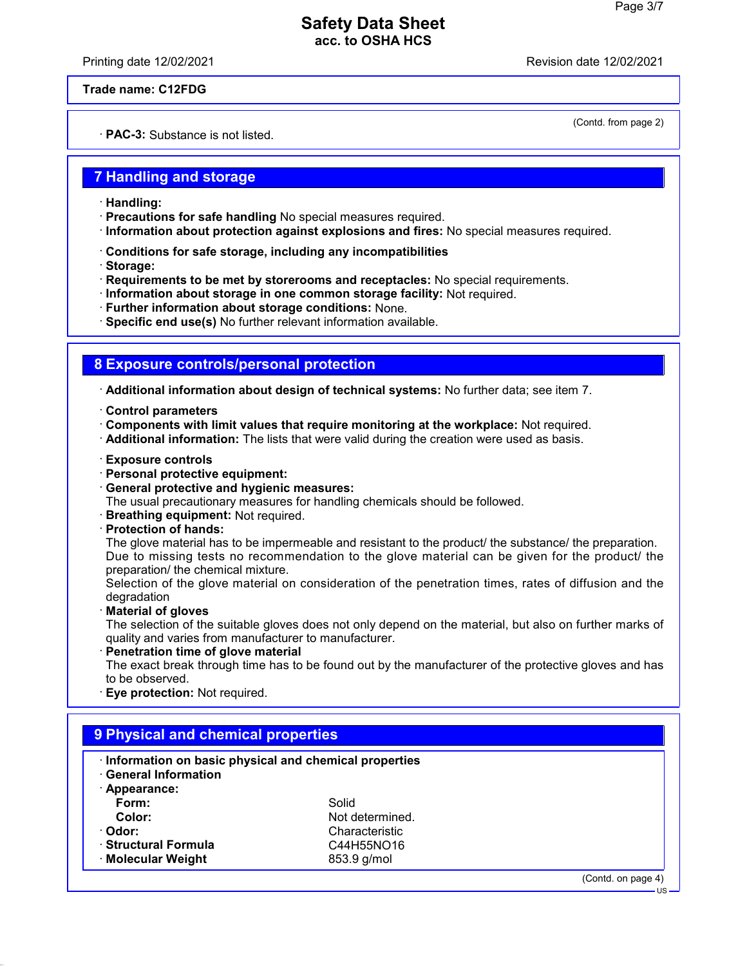Printing date 12/02/2021 Revision date 12/02/2021

(Contd. from page 2)

**Trade name: C12FDG**

· **PAC-3:** Substance is not listed.

### **7 Handling and storage**

- · **Handling:**
- · **Precautions for safe handling** No special measures required.
- · **Information about protection against explosions and fires:** No special measures required.
- · **Conditions for safe storage, including any incompatibilities**
- · **Storage:**
- · **Requirements to be met by storerooms and receptacles:** No special requirements.
- · **Information about storage in one common storage facility:** Not required.
- · **Further information about storage conditions:** None.
- · **Specific end use(s)** No further relevant information available.

# **8 Exposure controls/personal protection**

· **Additional information about design of technical systems:** No further data; see item 7.

- · **Control parameters**
- · **Components with limit values that require monitoring at the workplace:** Not required.
- · **Additional information:** The lists that were valid during the creation were used as basis.
- · **Exposure controls**
- · **Personal protective equipment:**
- · **General protective and hygienic measures:**
- The usual precautionary measures for handling chemicals should be followed.
- · **Breathing equipment:** Not required.
- · **Protection of hands:**

The glove material has to be impermeable and resistant to the product/ the substance/ the preparation. Due to missing tests no recommendation to the glove material can be given for the product/ the preparation/ the chemical mixture.

Selection of the glove material on consideration of the penetration times, rates of diffusion and the degradation

· **Material of gloves**

The selection of the suitable gloves does not only depend on the material, but also on further marks of quality and varies from manufacturer to manufacturer.

· **Penetration time of glove material**

The exact break through time has to be found out by the manufacturer of the protective gloves and has to be observed.

· **Eye protection:** Not required.

| 9 Physical and chemical properties                                                  |                 |                    |  |  |
|-------------------------------------------------------------------------------------|-----------------|--------------------|--|--|
| Information on basic physical and chemical properties<br><b>General Information</b> |                 |                    |  |  |
| Appearance:                                                                         |                 |                    |  |  |
| Form:                                                                               | Solid           |                    |  |  |
| Color:                                                                              | Not determined. |                    |  |  |
| · Odor:                                                                             | Characteristic  |                    |  |  |
| · Structural Formula                                                                | C44H55NO16      |                    |  |  |
| · Molecular Weight                                                                  | 853.9 g/mol     |                    |  |  |
|                                                                                     |                 | (Contd. on page 4) |  |  |
|                                                                                     |                 | $US -$             |  |  |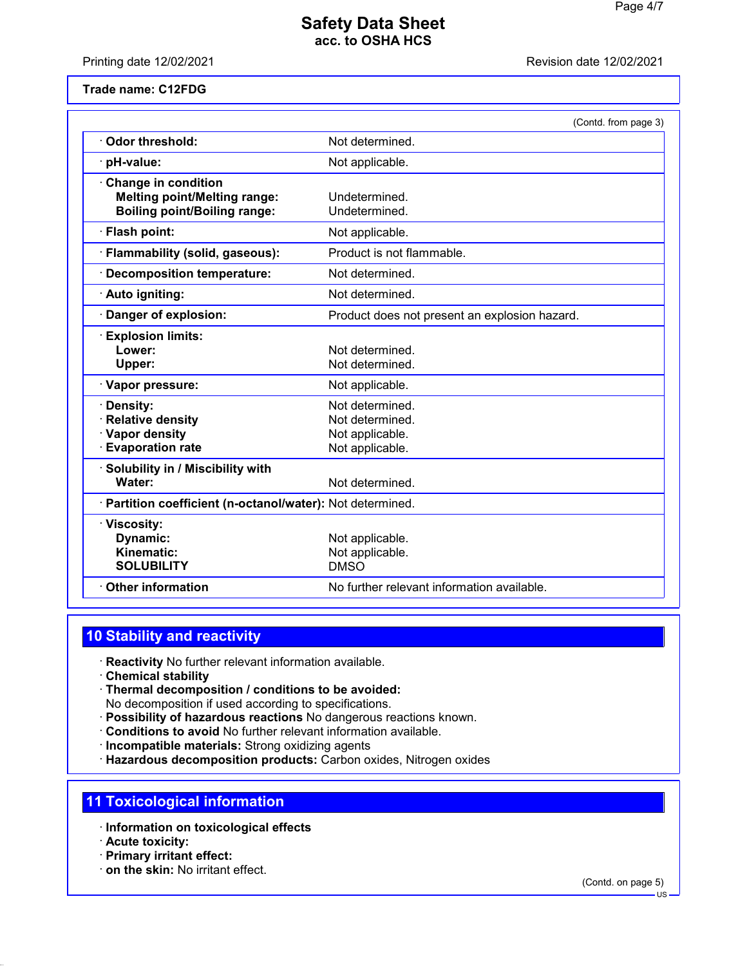Printing date 12/02/2021 **Printing date 12/02/2021** 

#### **Trade name: C12FDG**

|                                                                                                          | (Contd. from page 3)                                                     |
|----------------------------------------------------------------------------------------------------------|--------------------------------------------------------------------------|
| Odor threshold:                                                                                          | Not determined.                                                          |
| pH-value:                                                                                                | Not applicable.                                                          |
| <b>Change in condition</b><br><b>Melting point/Melting range:</b><br><b>Boiling point/Boiling range:</b> | Undetermined.<br>Undetermined.                                           |
| · Flash point:                                                                                           | Not applicable.                                                          |
| · Flammability (solid, gaseous):                                                                         | Product is not flammable.                                                |
| <b>Decomposition temperature:</b>                                                                        | Not determined.                                                          |
| · Auto igniting:                                                                                         | Not determined.                                                          |
| Danger of explosion:                                                                                     | Product does not present an explosion hazard.                            |
| <b>Explosion limits:</b><br>Lower:<br>Upper:                                                             | Not determined.<br>Not determined.                                       |
| · Vapor pressure:                                                                                        | Not applicable.                                                          |
| · Density:<br><b>Relative density</b><br>· Vapor density<br>· Evaporation rate                           | Not determined.<br>Not determined.<br>Not applicable.<br>Not applicable. |
| Solubility in / Miscibility with<br>Water:                                                               | Not determined.                                                          |
| · Partition coefficient (n-octanol/water): Not determined.                                               |                                                                          |
| · Viscosity:<br>Dynamic:<br>Kinematic:<br><b>SOLUBILITY</b>                                              | Not applicable.<br>Not applicable.<br><b>DMSO</b>                        |
| <b>Other information</b>                                                                                 | No further relevant information available.                               |

# **10 Stability and reactivity**

- · **Reactivity** No further relevant information available.
- · **Chemical stability**
- · **Thermal decomposition / conditions to be avoided:** No decomposition if used according to specifications.
- · **Possibility of hazardous reactions** No dangerous reactions known.
- · **Conditions to avoid** No further relevant information available.
- · **Incompatible materials:** Strong oxidizing agents
- · **Hazardous decomposition products:** Carbon oxides, Nitrogen oxides

### **11 Toxicological information**

- · **Information on toxicological effects**
- · **Acute toxicity:**
- · **Primary irritant effect:**
- · **on the skin:** No irritant effect.

(Contd. on page 5)

 $\overline{HS}$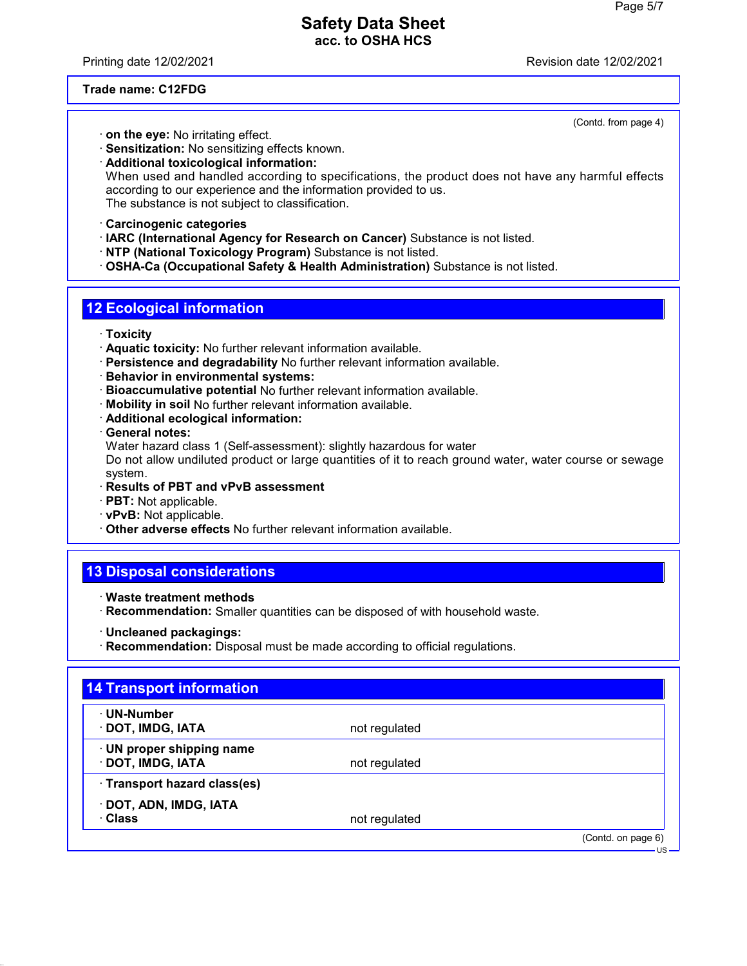Printing date 12/02/2021 Revision date 12/02/2021

(Contd. from page 4)

#### **Trade name: C12FDG**

- · **on the eye:** No irritating effect.
- · **Sensitization:** No sensitizing effects known.

· **Additional toxicological information:** When used and handled according to specifications, the product does not have any harmful effects according to our experience and the information provided to us. The substance is not subject to classification.

- · **Carcinogenic categories**
- · **IARC (International Agency for Research on Cancer)** Substance is not listed.
- · **NTP (National Toxicology Program)** Substance is not listed.
- · **OSHA-Ca (Occupational Safety & Health Administration)** Substance is not listed.

# **12 Ecological information**

- · **Toxicity**
- · **Aquatic toxicity:** No further relevant information available.
- · **Persistence and degradability** No further relevant information available.
- · **Behavior in environmental systems:**
- · **Bioaccumulative potential** No further relevant information available.
- · **Mobility in soil** No further relevant information available.
- · **Additional ecological information:**
- · **General notes:**
- Water hazard class 1 (Self-assessment): slightly hazardous for water

Do not allow undiluted product or large quantities of it to reach ground water, water course or sewage system.

- · **Results of PBT and vPvB assessment**
- · **PBT:** Not applicable.
- · **vPvB:** Not applicable.
- · **Other adverse effects** No further relevant information available.

# **13 Disposal considerations**

- · **Waste treatment methods**
- · **Recommendation:** Smaller quantities can be disposed of with household waste.
- · **Uncleaned packagings:**
- · **Recommendation:** Disposal must be made according to official regulations.

| · UN-Number                  |               |  |
|------------------------------|---------------|--|
| · DOT, IMDG, IATA            | not regulated |  |
| · UN proper shipping name    |               |  |
| · DOT, IMDG, IATA            | not regulated |  |
| · Transport hazard class(es) |               |  |
| · DOT, ADN, IMDG, IATA       |               |  |
| · Class                      | not regulated |  |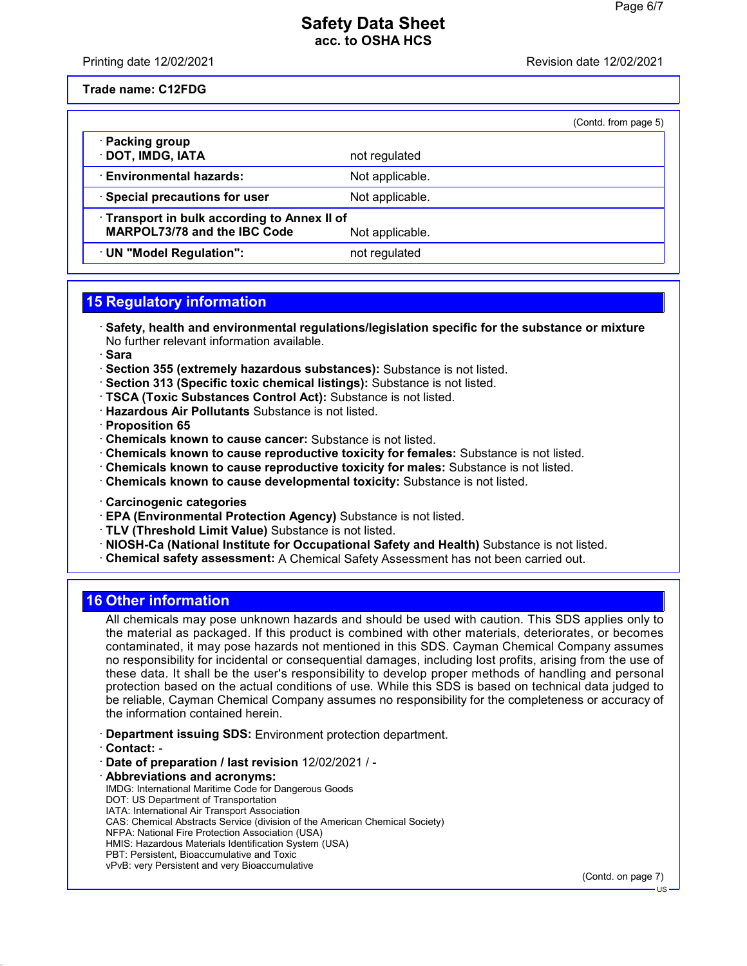Printing date 12/02/2021 **Printing date 12/02/2021** 

**Trade name: C12FDG**

|                                                                            |                 | (Contd. from page 5) |
|----------------------------------------------------------------------------|-----------------|----------------------|
| · Packing group<br>· DOT, IMDG, IATA                                       | not regulated   |                      |
| <b>Environmental hazards:</b>                                              | Not applicable. |                      |
| · Special precautions for user                                             | Not applicable. |                      |
| Transport in bulk according to Annex II of<br>MARPOL73/78 and the IBC Code | Not applicable. |                      |
| · UN "Model Regulation":                                                   | not regulated   |                      |

# **15 Regulatory information**

· **Safety, health and environmental regulations/legislation specific for the substance or mixture** No further relevant information available.

· **Sara**

- · **Section 355 (extremely hazardous substances):** Substance is not listed.
- · **Section 313 (Specific toxic chemical listings):** Substance is not listed.
- · **TSCA (Toxic Substances Control Act):** Substance is not listed.
- · **Hazardous Air Pollutants** Substance is not listed.

· **Proposition 65**

- · **Chemicals known to cause cancer:** Substance is not listed.
- · **Chemicals known to cause reproductive toxicity for females:** Substance is not listed.
- · **Chemicals known to cause reproductive toxicity for males:** Substance is not listed.
- · **Chemicals known to cause developmental toxicity:** Substance is not listed.
- · **Carcinogenic categories**
- · **EPA (Environmental Protection Agency)** Substance is not listed.
- · **TLV (Threshold Limit Value)** Substance is not listed.
- · **NIOSH-Ca (National Institute for Occupational Safety and Health)** Substance is not listed.
- · **Chemical safety assessment:** A Chemical Safety Assessment has not been carried out.

#### **16 Other information**

All chemicals may pose unknown hazards and should be used with caution. This SDS applies only to the material as packaged. If this product is combined with other materials, deteriorates, or becomes contaminated, it may pose hazards not mentioned in this SDS. Cayman Chemical Company assumes no responsibility for incidental or consequential damages, including lost profits, arising from the use of these data. It shall be the user's responsibility to develop proper methods of handling and personal protection based on the actual conditions of use. While this SDS is based on technical data judged to be reliable, Cayman Chemical Company assumes no responsibility for the completeness or accuracy of the information contained herein.

- · **Department issuing SDS:** Environment protection department.
- · **Contact:** -
- · **Date of preparation / last revision** 12/02/2021 / -
- · **Abbreviations and acronyms:**
- IMDG: International Maritime Code for Dangerous Goods
- DOT: US Department of Transportation
- IATA: International Air Transport Association CAS: Chemical Abstracts Service (division of the American Chemical Society)
- NFPA: National Fire Protection Association (USA)
- HMIS: Hazardous Materials Identification System (USA)
- PBT: Persistent, Bioaccumulative and Toxic
- vPvB: very Persistent and very Bioaccumulative

(Contd. on page 7)

US